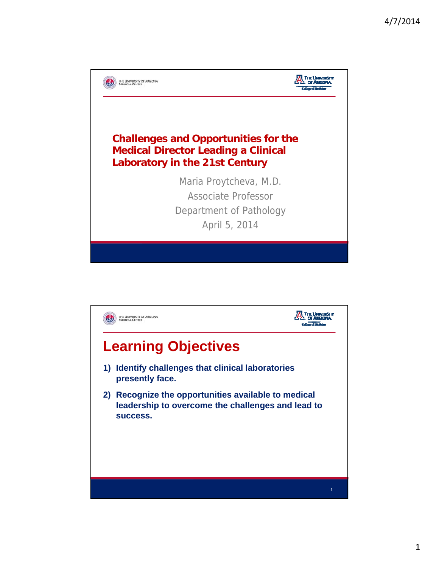

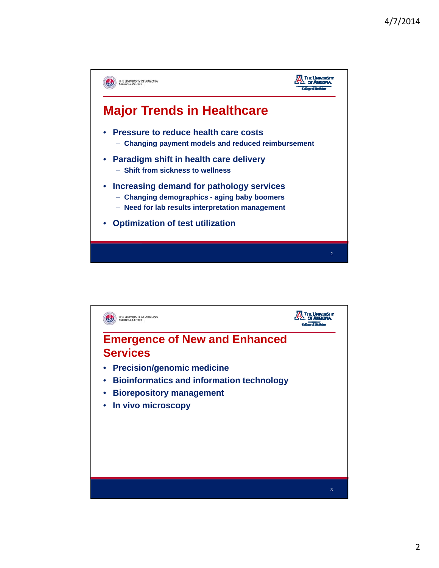

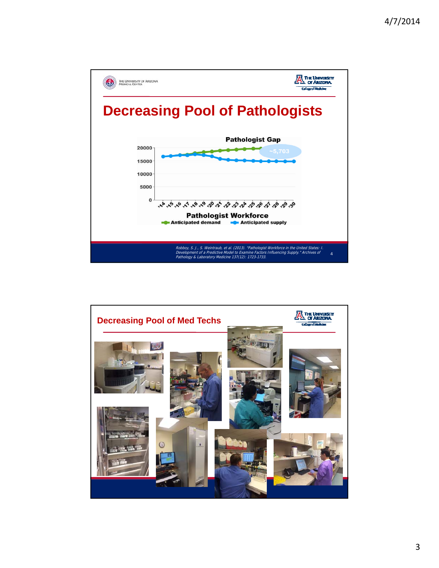

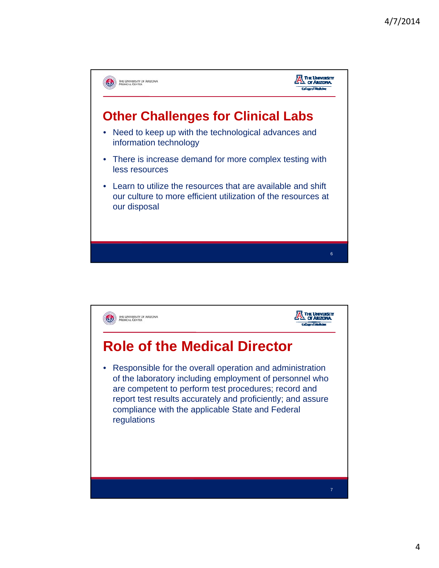

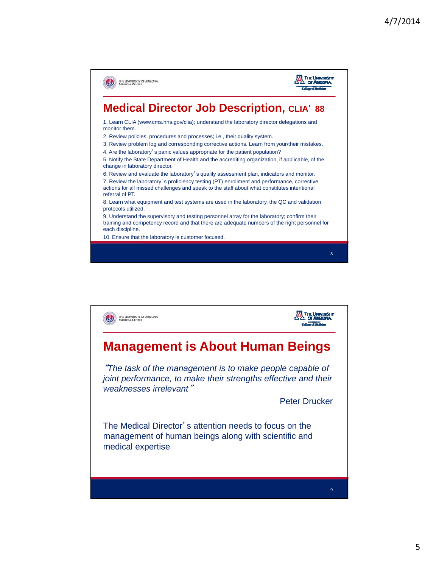

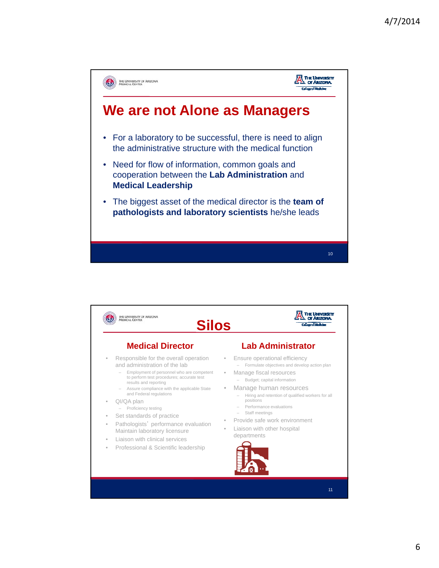



11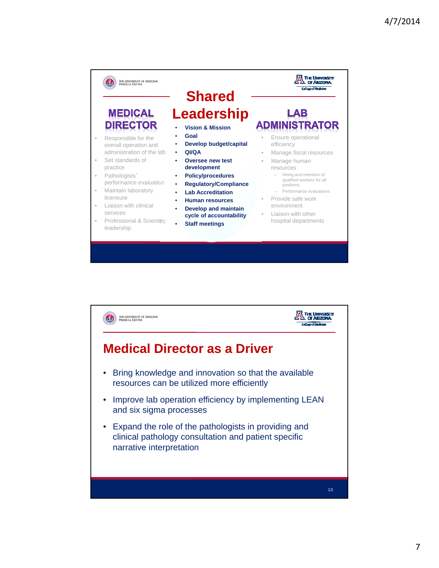